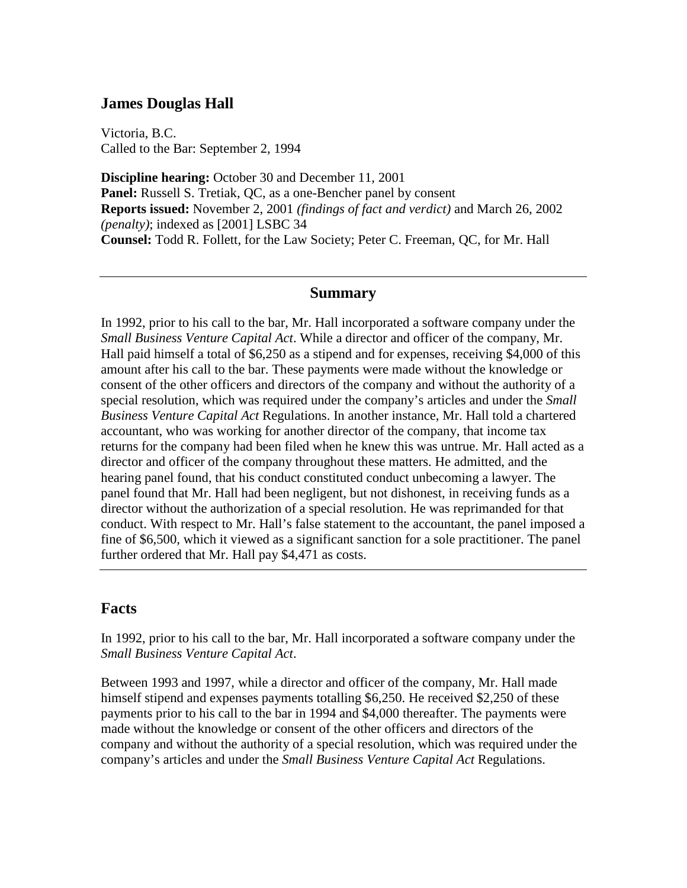### **James Douglas Hall**

Victoria, B.C. Called to the Bar: September 2, 1994

**Discipline hearing:** October 30 and December 11, 2001 **Panel:** Russell S. Tretiak, QC, as a one-Bencher panel by consent **Reports issued:** November 2, 2001 *(findings of fact and verdict)* and March 26, 2002 *(penalty)*; indexed as [2001] LSBC 34 **Counsel:** Todd R. Follett, for the Law Society; Peter C. Freeman, QC, for Mr. Hall

#### **Summary**

In 1992, prior to his call to the bar, Mr. Hall incorporated a software company under the *Small Business Venture Capital Act*. While a director and officer of the company, Mr. Hall paid himself a total of \$6,250 as a stipend and for expenses, receiving \$4,000 of this amount after his call to the bar. These payments were made without the knowledge or consent of the other officers and directors of the company and without the authority of a special resolution, which was required under the company's articles and under the *Small Business Venture Capital Act* Regulations. In another instance, Mr. Hall told a chartered accountant, who was working for another director of the company, that income tax returns for the company had been filed when he knew this was untrue. Mr. Hall acted as a director and officer of the company throughout these matters. He admitted, and the hearing panel found, that his conduct constituted conduct unbecoming a lawyer. The panel found that Mr. Hall had been negligent, but not dishonest, in receiving funds as a director without the authorization of a special resolution. He was reprimanded for that conduct. With respect to Mr. Hall's false statement to the accountant, the panel imposed a fine of \$6,500, which it viewed as a significant sanction for a sole practitioner. The panel further ordered that Mr. Hall pay \$4,471 as costs.

### **Facts**

In 1992, prior to his call to the bar, Mr. Hall incorporated a software company under the *Small Business Venture Capital Act*.

Between 1993 and 1997, while a director and officer of the company, Mr. Hall made himself stipend and expenses payments totalling \$6,250. He received \$2,250 of these payments prior to his call to the bar in 1994 and \$4,000 thereafter. The payments were made without the knowledge or consent of the other officers and directors of the company and without the authority of a special resolution, which was required under the company's articles and under the *Small Business Venture Capital Act* Regulations.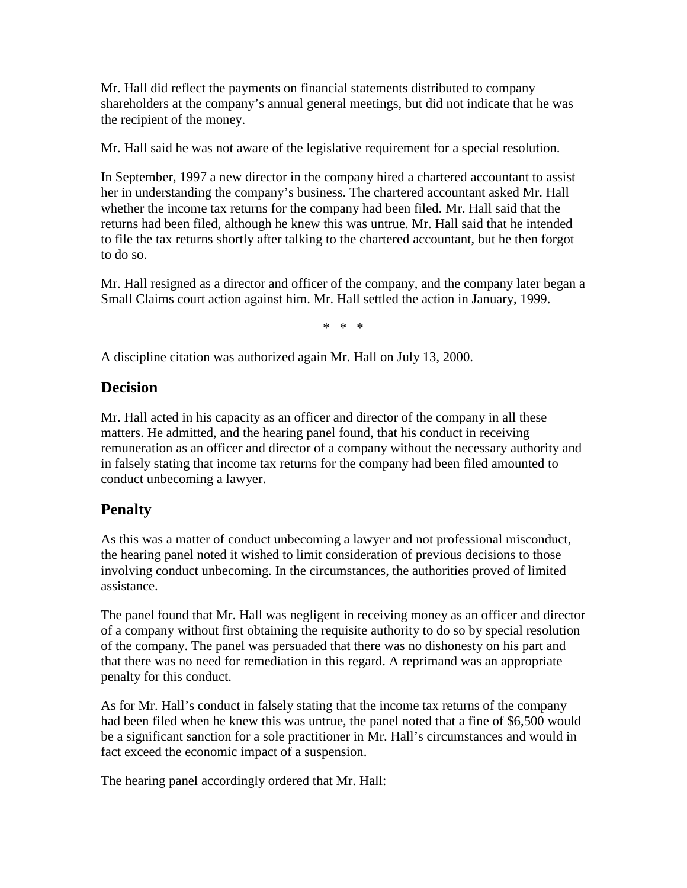Mr. Hall did reflect the payments on financial statements distributed to company shareholders at the company's annual general meetings, but did not indicate that he was the recipient of the money.

Mr. Hall said he was not aware of the legislative requirement for a special resolution.

In September, 1997 a new director in the company hired a chartered accountant to assist her in understanding the company's business. The chartered accountant asked Mr. Hall whether the income tax returns for the company had been filed. Mr. Hall said that the returns had been filed, although he knew this was untrue. Mr. Hall said that he intended to file the tax returns shortly after talking to the chartered accountant, but he then forgot to do so.

Mr. Hall resigned as a director and officer of the company, and the company later began a Small Claims court action against him. Mr. Hall settled the action in January, 1999.

\* \* \*

A discipline citation was authorized again Mr. Hall on July 13, 2000.

## **Decision**

Mr. Hall acted in his capacity as an officer and director of the company in all these matters. He admitted, and the hearing panel found, that his conduct in receiving remuneration as an officer and director of a company without the necessary authority and in falsely stating that income tax returns for the company had been filed amounted to conduct unbecoming a lawyer.

# **Penalty**

As this was a matter of conduct unbecoming a lawyer and not professional misconduct, the hearing panel noted it wished to limit consideration of previous decisions to those involving conduct unbecoming. In the circumstances, the authorities proved of limited assistance.

The panel found that Mr. Hall was negligent in receiving money as an officer and director of a company without first obtaining the requisite authority to do so by special resolution of the company. The panel was persuaded that there was no dishonesty on his part and that there was no need for remediation in this regard. A reprimand was an appropriate penalty for this conduct.

As for Mr. Hall's conduct in falsely stating that the income tax returns of the company had been filed when he knew this was untrue, the panel noted that a fine of \$6,500 would be a significant sanction for a sole practitioner in Mr. Hall's circumstances and would in fact exceed the economic impact of a suspension.

The hearing panel accordingly ordered that Mr. Hall: